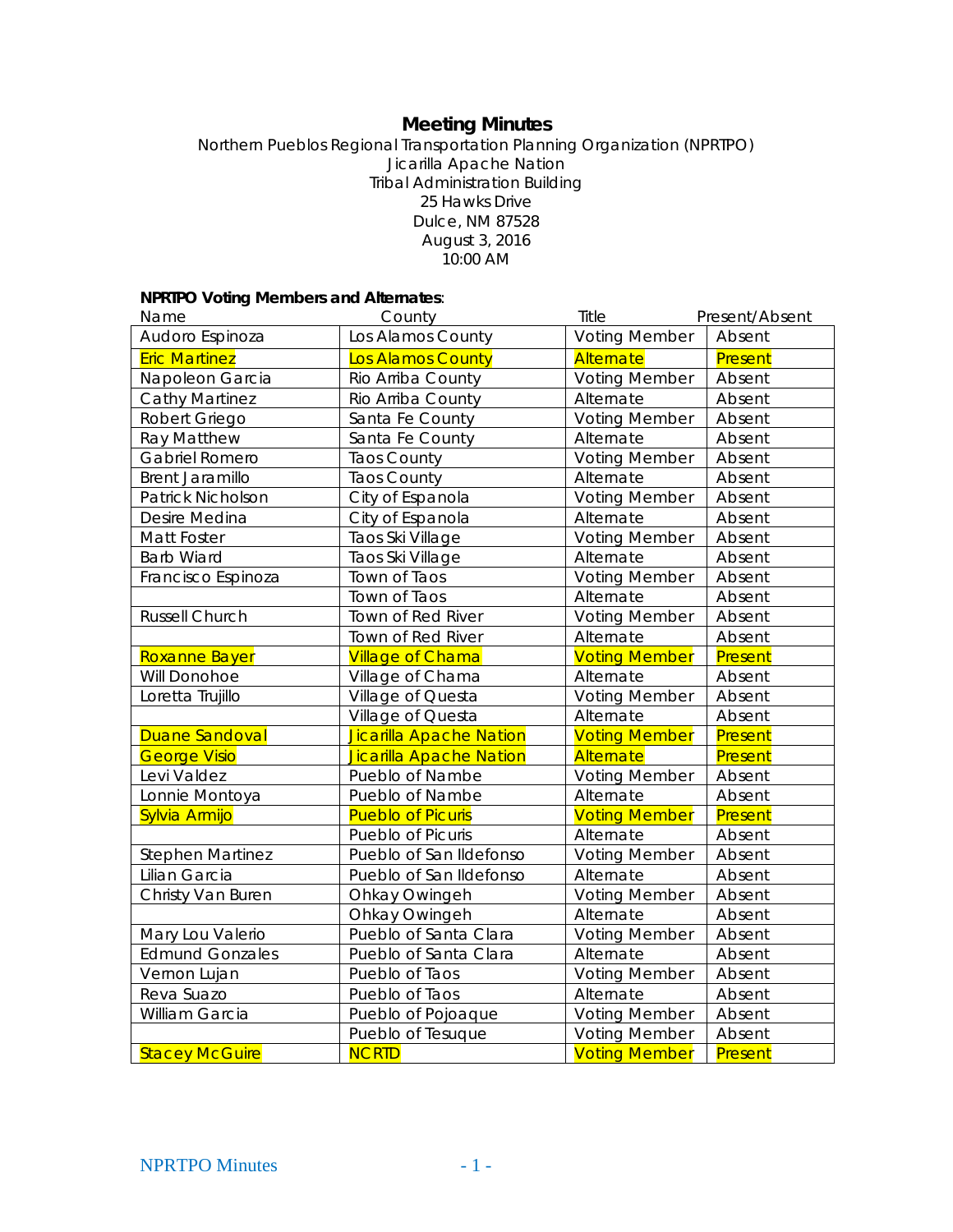# **Meeting Minutes**

Northern Pueblos Regional Transportation Planning Organization (NPRTPO) Jicarilla Apache Nation Tribal Administration Building 25 Hawks Drive Dulce, NM 87528 August 3, 2016 10:00 AM

#### **NPRTPO Voting Members and Alternates**:

| Name                     | County                   | Title                | Present/Absent |
|--------------------------|--------------------------|----------------------|----------------|
| Audoro Espinoza          | Los Alamos County        | <b>Voting Member</b> | Absent         |
| <b>Eric Martinez</b>     | Los Alamos County        | Alternate            | Present        |
| Napoleon Garcia          | Rio Arriba County        | <b>Voting Member</b> | Absent         |
| <b>Cathy Martinez</b>    | Rio Arriba County        | Alternate            | Absent         |
| Robert Griego            | Santa Fe County          | <b>Voting Member</b> | Absent         |
| Ray Matthew              | Santa Fe County          | Alternate            | Absent         |
| Gabriel Romero           | <b>Taos County</b>       | <b>Voting Member</b> | Absent         |
| <b>Brent Jaramillo</b>   | <b>Taos County</b>       | Alternate            | Absent         |
| <b>Patrick Nicholson</b> | City of Espanola         | <b>Voting Member</b> | Absent         |
| Desire Medina            | City of Espanola         | Alternate            | Absent         |
| Matt Foster              | Taos Ski Village         | <b>Voting Member</b> | Absent         |
| <b>Barb Wiard</b>        | Taos Ski Village         | Alternate            | Absent         |
| Francisco Espinoza       | Town of Taos             | <b>Voting Member</b> | Absent         |
|                          | Town of Taos             | Alternate            | Absent         |
| Russell Church           | Town of Red River        | <b>Voting Member</b> | Absent         |
|                          | Town of Red River        | Alternate            | Absent         |
| Roxanne Bayer            | <b>Village of Chama</b>  | <b>Voting Member</b> | Present        |
| Will Donohoe             | Village of Chama         | Alternate            | Absent         |
| Loretta Trujillo         | Village of Questa        | <b>Voting Member</b> | Absent         |
|                          | Village of Questa        | Alternate            | Absent         |
| <b>Duane Sandoval</b>    | Jicarilla Apache Nation  | <b>Voting Member</b> | Present        |
| <b>George Visio</b>      | Jicarilla Apache Nation  | Alternate            | Present        |
| Levi Valdez              | Pueblo of Nambe          | <b>Voting Member</b> | Absent         |
| Lonnie Montoya           | Pueblo of Nambe          | Alternate            | Absent         |
| Sylvia Armijo            | <b>Pueblo of Picuris</b> | <b>Voting Member</b> | Present        |
|                          | Pueblo of Picuris        | Alternate            | Absent         |
| <b>Stephen Martinez</b>  | Pueblo of San Ildefonso  | <b>Voting Member</b> | Absent         |
| Lilian Garcia            | Pueblo of San Ildefonso  | Alternate            | Absent         |
| Christy Van Buren        | Ohkay Owingeh            | <b>Voting Member</b> | Absent         |
|                          | Ohkay Owingeh            | Alternate            | Absent         |
| Mary Lou Valerio         | Pueblo of Santa Clara    | <b>Voting Member</b> | Absent         |
| <b>Edmund Gonzales</b>   | Pueblo of Santa Clara    | Alternate            | Absent         |
| Vernon Lujan             | Pueblo of Taos           | <b>Voting Member</b> | Absent         |
| Reva Suazo               | Pueblo of Taos           | Alternate            | Absent         |
| William Garcia           | Pueblo of Pojoaque       | <b>Voting Member</b> | Absent         |
|                          | Pueblo of Tesuque        | <b>Voting Member</b> | Absent         |
| <b>Stacey McGuire</b>    | <b>NCRTD</b>             | <b>Voting Member</b> | Present        |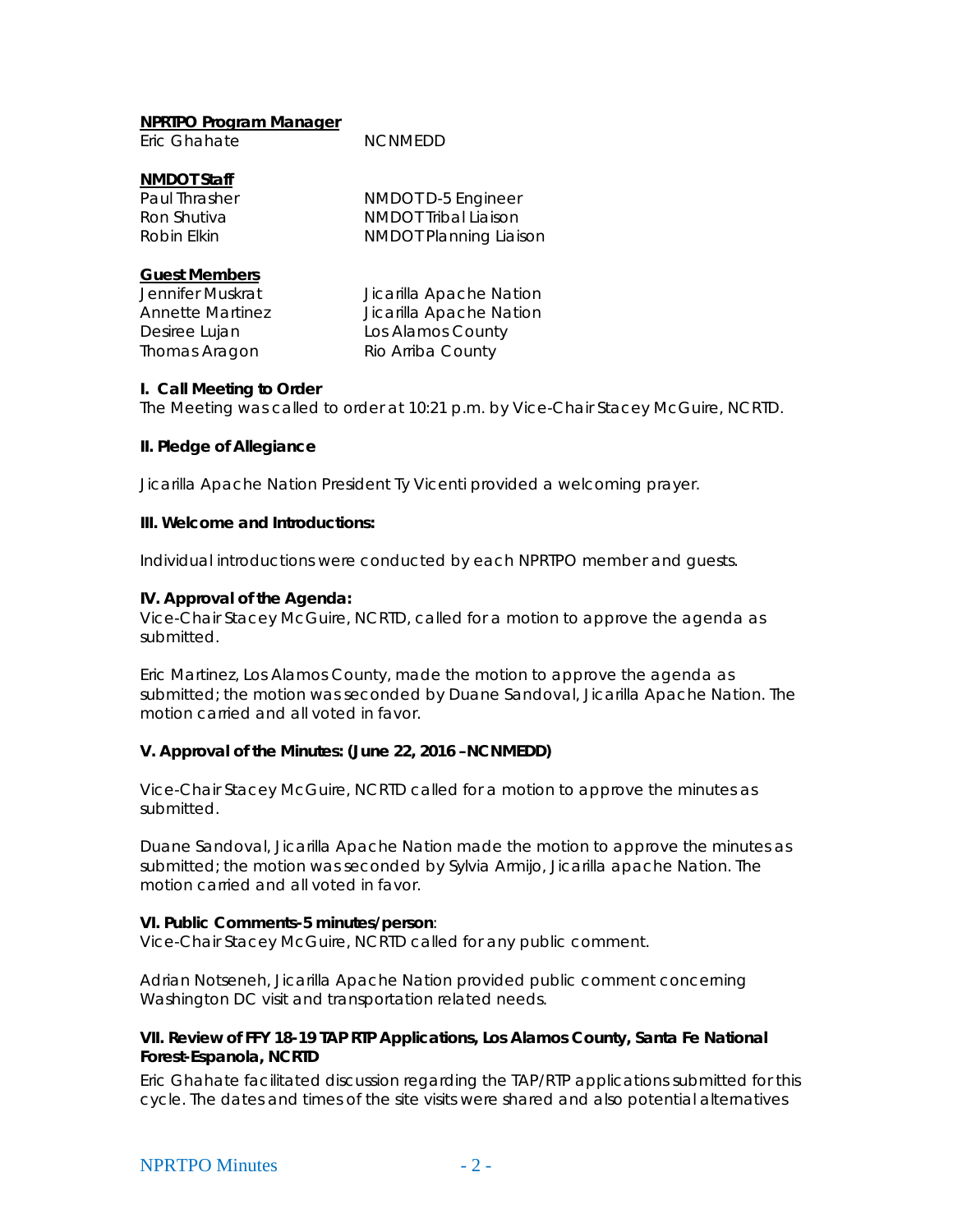## **NPRTPO Program Manager**

| Eric Ghahate | <b>NCNMEDD</b> |
|--------------|----------------|
|              |                |

## **NMDOT Staff**

| Paul Thrasher | NMDOT D-5 Engineer            |
|---------------|-------------------------------|
| Ron Shutiva   | NMDOT Tribal Liaison          |
| Robin Elkin   | <b>NMDOT Planning Liaison</b> |

#### **Guest Members**

Thomas Aragon Rio Arriba County

Jennifer Muskrat Jicarilla Apache Nation Annette Martinez Jicarilla Apache Nation Desiree Lujan Los Alamos County

### **I. Call Meeting to Order**

The Meeting was called to order at 10:21 p.m. by Vice-Chair Stacey McGuire, NCRTD.

### **II. Pledge of Allegiance**

Jicarilla Apache Nation President Ty Vicenti provided a welcoming prayer.

## **III. Welcome and Introductions:**

Individual introductions were conducted by each NPRTPO member and guests.

### **IV. Approval of the Agenda:**

Vice-Chair Stacey McGuire, NCRTD, called for a motion to approve the agenda as submitted.

Eric Martinez, Los Alamos County, made the motion to approve the agenda as submitted; the motion was seconded by Duane Sandoval, Jicarilla Apache Nation. The motion carried and all voted in favor.

## **V. Approval of the Minutes: (June 22, 2016 –NCNMEDD)**

Vice-Chair Stacey McGuire, NCRTD called for a motion to approve the minutes as submitted.

Duane Sandoval, Jicarilla Apache Nation made the motion to approve the minutes as submitted; the motion was seconded by Sylvia Armijo, Jicarilla apache Nation. The motion carried and all voted in favor.

#### **VI. Public Comments-5 minutes/person**:

Vice-Chair Stacey McGuire, NCRTD called for any public comment.

Adrian Notseneh, Jicarilla Apache Nation provided public comment concerning Washington DC visit and transportation related needs.

### **VII. Review of FFY 18-19 TAP RTP Applications, Los Alamos County, Santa Fe National Forest-Espanola, NCRTD**

Eric Ghahate facilitated discussion regarding the TAP/RTP applications submitted for this cycle. The dates and times of the site visits were shared and also potential alternatives